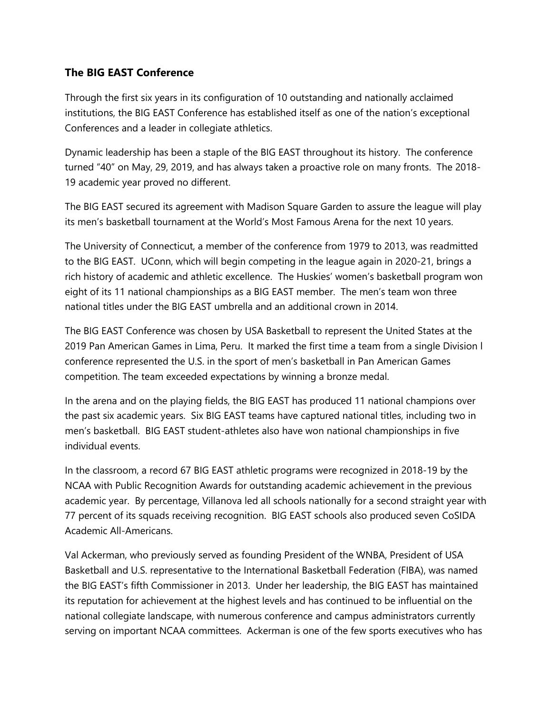## **The BIG EAST Conference**

Through the first six years in its configuration of 10 outstanding and nationally acclaimed institutions, the BIG EAST Conference has established itself as one of the nation's exceptional Conferences and a leader in collegiate athletics.

Dynamic leadership has been a staple of the BIG EAST throughout its history. The conference turned "40" on May, 29, 2019, and has always taken a proactive role on many fronts. The 2018- 19 academic year proved no different.

The BIG EAST secured its agreement with Madison Square Garden to assure the league will play its men's basketball tournament at the World's Most Famous Arena for the next 10 years.

The University of Connecticut, a member of the conference from 1979 to 2013, was readmitted to the BIG EAST. UConn, which will begin competing in the league again in 2020-21, brings a rich history of academic and athletic excellence. The Huskies' women's basketball program won eight of its 11 national championships as a BIG EAST member. The men's team won three national titles under the BIG EAST umbrella and an additional crown in 2014.

The BIG EAST Conference was chosen by USA Basketball to represent the United States at the 2019 Pan American Games in Lima, Peru. It marked the first time a team from a single Division l conference represented the U.S. in the sport of men's basketball in Pan American Games competition. The team exceeded expectations by winning a bronze medal.

In the arena and on the playing fields, the BIG EAST has produced 11 national champions over the past six academic years. Six BIG EAST teams have captured national titles, including two in men's basketball. BIG EAST student-athletes also have won national championships in five individual events.

In the classroom, a record 67 BIG EAST athletic programs were recognized in 2018-19 by the NCAA with Public Recognition Awards for outstanding academic achievement in the previous academic year. By percentage, Villanova led all schools nationally for a second straight year with 77 percent of its squads receiving recognition. BIG EAST schools also produced seven CoSIDA Academic All-Americans.

Val Ackerman, who previously served as founding President of the WNBA, President of USA Basketball and U.S. representative to the International Basketball Federation (FIBA), was named the BIG EAST's fifth Commissioner in 2013. Under her leadership, the BIG EAST has maintained its reputation for achievement at the highest levels and has continued to be influential on the national collegiate landscape, with numerous conference and campus administrators currently serving on important NCAA committees. Ackerman is one of the few sports executives who has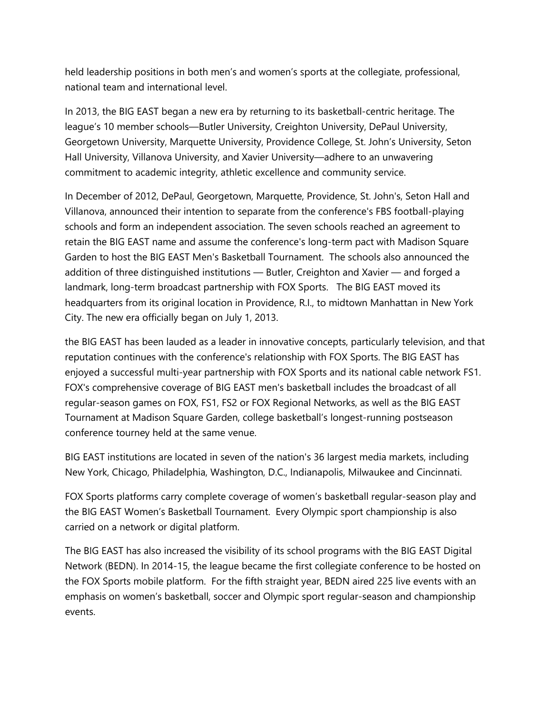held leadership positions in both men's and women's sports at the collegiate, professional, national team and international level.

In 2013, the BIG EAST began a new era by returning to its basketball-centric heritage. The league's 10 member schools—Butler University, Creighton University, DePaul University, Georgetown University, Marquette University, Providence College, St. John's University, Seton Hall University, Villanova University, and Xavier University—adhere to an unwavering commitment to academic integrity, athletic excellence and community service.

In December of 2012, DePaul, Georgetown, Marquette, Providence, St. John's, Seton Hall and Villanova, announced their intention to separate from the conference's FBS football-playing schools and form an independent association. The seven schools reached an agreement to retain the BIG EAST name and assume the conference's long-term pact with Madison Square Garden to host the BIG EAST Men's Basketball Tournament. The schools also announced the addition of three distinguished institutions — Butler, Creighton and Xavier — and forged a landmark, long-term broadcast partnership with FOX Sports. The BIG EAST moved its headquarters from its original location in Providence, R.I., to midtown Manhattan in New York City. The new era officially began on July 1, 2013.

the BIG EAST has been lauded as a leader in innovative concepts, particularly television, and that reputation continues with the conference's relationship with FOX Sports. The BIG EAST has enjoyed a successful multi-year partnership with FOX Sports and its national cable network FS1. FOX's comprehensive coverage of BIG EAST men's basketball includes the broadcast of all regular-season games on FOX, FS1, FS2 or FOX Regional Networks, as well as the BIG EAST Tournament at Madison Square Garden, college basketball's longest-running postseason conference tourney held at the same venue.

BIG EAST institutions are located in seven of the nation's 36 largest media markets, including New York, Chicago, Philadelphia, Washington, D.C., Indianapolis, Milwaukee and Cincinnati.

FOX Sports platforms carry complete coverage of women's basketball regular-season play and the BIG EAST Women's Basketball Tournament. Every Olympic sport championship is also carried on a network or digital platform.

The BIG EAST has also increased the visibility of its school programs with the BIG EAST Digital Network (BEDN). In 2014-15, the league became the first collegiate conference to be hosted on the FOX Sports mobile platform. For the fifth straight year, BEDN aired 225 live events with an emphasis on women's basketball, soccer and Olympic sport regular-season and championship events.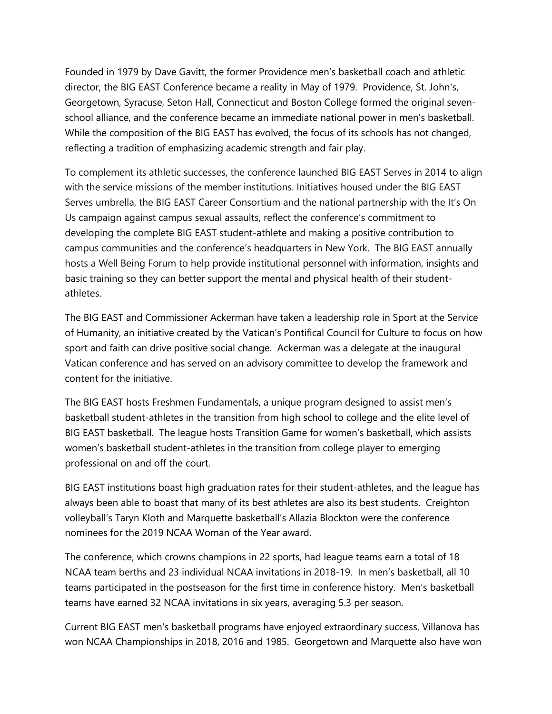Founded in 1979 by Dave Gavitt, the former Providence men's basketball coach and athletic director, the BIG EAST Conference became a reality in May of 1979. Providence, St. John's, Georgetown, Syracuse, Seton Hall, Connecticut and Boston College formed the original sevenschool alliance, and the conference became an immediate national power in men's basketball. While the composition of the BIG EAST has evolved, the focus of its schools has not changed, reflecting a tradition of emphasizing academic strength and fair play.

To complement its athletic successes, the conference launched BIG EAST Serves in 2014 to align with the service missions of the member institutions. Initiatives housed under the BIG EAST Serves umbrella, the BIG EAST Career Consortium and the national partnership with the It's On Us campaign against campus sexual assaults, reflect the conference's commitment to developing the complete BIG EAST student-athlete and making a positive contribution to campus communities and the conference's headquarters in New York. The BIG EAST annually hosts a Well Being Forum to help provide institutional personnel with information, insights and basic training so they can better support the mental and physical health of their studentathletes.

The BIG EAST and Commissioner Ackerman have taken a leadership role in Sport at the Service of Humanity, an initiative created by the Vatican's Pontifical Council for Culture to focus on how sport and faith can drive positive social change. Ackerman was a delegate at the inaugural Vatican conference and has served on an advisory committee to develop the framework and content for the initiative.

The BIG EAST hosts Freshmen Fundamentals, a unique program designed to assist men's basketball student-athletes in the transition from high school to college and the elite level of BIG EAST basketball. The league hosts Transition Game for women's basketball, which assists women's basketball student-athletes in the transition from college player to emerging professional on and off the court.

BIG EAST institutions boast high graduation rates for their student-athletes, and the league has always been able to boast that many of its best athletes are also its best students. Creighton volleyball's Taryn Kloth and Marquette basketball's Allazia Blockton were the conference nominees for the 2019 NCAA Woman of the Year award.

The conference, which crowns champions in 22 sports, had league teams earn a total of 18 NCAA team berths and 23 individual NCAA invitations in 2018-19. In men's basketball, all 10 teams participated in the postseason for the first time in conference history. Men's basketball teams have earned 32 NCAA invitations in six years, averaging 5.3 per season.

Current BIG EAST men's basketball programs have enjoyed extraordinary success. Villanova has won NCAA Championships in 2018, 2016 and 1985. Georgetown and Marquette also have won